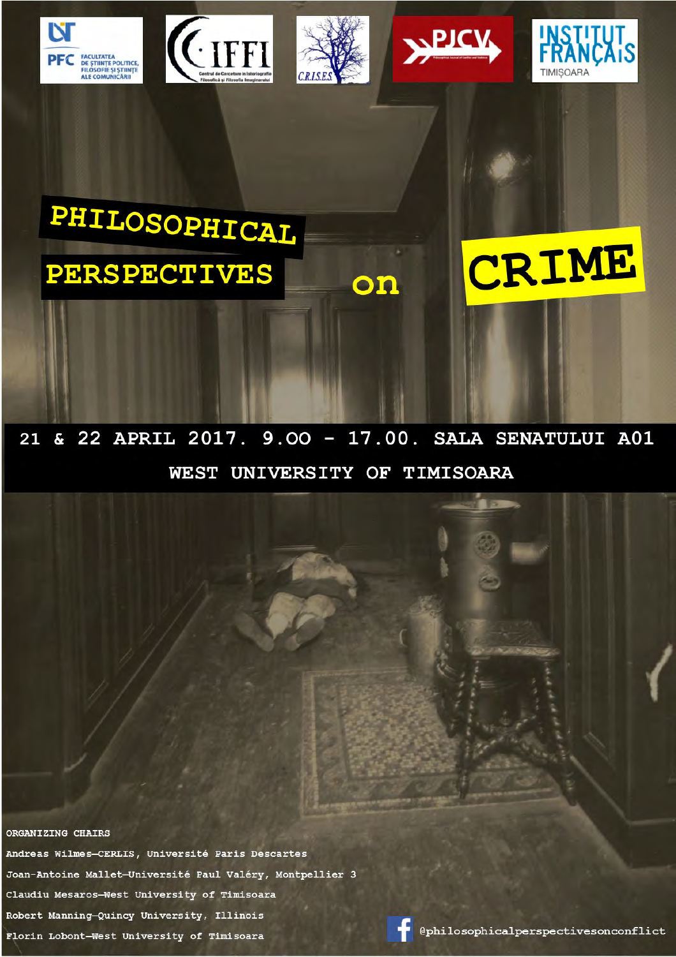









PHILOSOPHICAL **PERSPECTIVES** 



& 22 APRIL 2017. 9.00 - 17.00. SALA SENATULUI A01 21 WEST UNIVERSITY OF TIMISOARA

on

ORGANIZING CHAIRS

Andreas Wilmes-CERLIS, Université Paris Descartes Joan-Antoine Mallet-Université Paul Valéry, Montpellier 3 Claudiu Mesaros-West University of Timisoara Robert Manning-Quincy University, Illinois Florin Lobont-West University of Timisoara

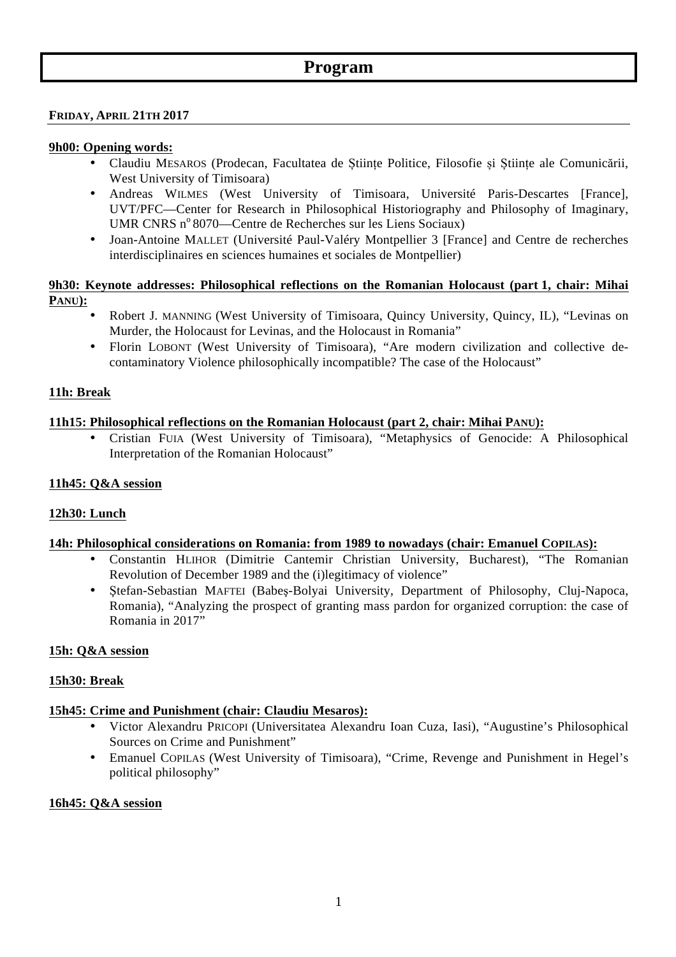# **Program**

### **FRIDAY, APRIL 21TH 2017**

### **9h00: Opening words:**

- Claudiu MESAROS (Prodecan, Facultatea de Științe Politice, Filosofie și Științe ale Comunicării, West University of Timisoara)
- Andreas WILMES (West University of Timisoara, Université Paris-Descartes [France], UVT/PFC—Center for Research in Philosophical Historiography and Philosophy of Imaginary, UMR CNRS  $n^{\circ}8070$ —Centre de Recherches sur les Liens Sociaux)
- Joan-Antoine MALLET (Université Paul-Valéry Montpellier 3 [France] and Centre de recherches interdisciplinaires en sciences humaines et sociales de Montpellier)

## **9h30: Keynote addresses: Philosophical reflections on the Romanian Holocaust (part 1, chair: Mihai PANU):**

- Robert J. MANNING (West University of Timisoara, Quincy University, Quincy, IL), "Levinas on Murder, the Holocaust for Levinas, and the Holocaust in Romania"
- Florin LOBONT (West University of Timisoara), "Are modern civilization and collective decontaminatory Violence philosophically incompatible? The case of the Holocaust"

### **11h: Break**

### **11h15: Philosophical reflections on the Romanian Holocaust (part 2, chair: Mihai PANU):**

• Cristian FUIA (West University of Timisoara), "Metaphysics of Genocide: A Philosophical Interpretation of the Romanian Holocaust"

### **11h45: Q&A session**

## **12h30: Lunch**

### **14h: Philosophical considerations on Romania: from 1989 to nowadays (chair: Emanuel COPILAS):**

- Constantin HLIHOR (Dimitrie Cantemir Christian University, Bucharest), "The Romanian Revolution of December 1989 and the (i)legitimacy of violence"
- Ştefan-Sebastian MAFTEI (Babeş-Bolyai University, Department of Philosophy, Cluj-Napoca, Romania), "Analyzing the prospect of granting mass pardon for organized corruption: the case of Romania in 2017"

## **15h: Q&A session**

### **15h30: Break**

## **15h45: Crime and Punishment (chair: Claudiu Mesaros):**

- Victor Alexandru PRICOPI (Universitatea Alexandru Ioan Cuza, Iasi), "Augustine's Philosophical Sources on Crime and Punishment"
- Emanuel COPILAS (West University of Timisoara), "Crime, Revenge and Punishment in Hegel's political philosophy"

### **16h45: Q&A session**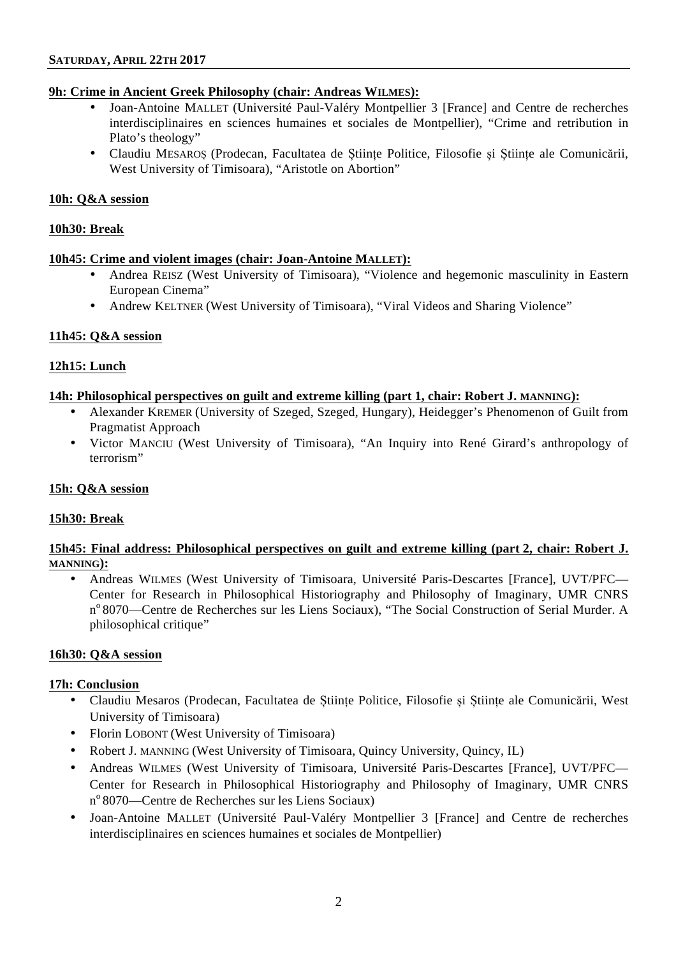### **9h: Crime in Ancient Greek Philosophy (chair: Andreas WILMES):**

- Joan-Antoine MALLET (Université Paul-Valéry Montpellier 3 [France] and Centre de recherches interdisciplinaires en sciences humaines et sociales de Montpellier), "Crime and retribution in Plato's theology"
- Claudiu MESAROȘ (Prodecan, Facultatea de Științe Politice, Filosofie și Științe ale Comunicării, West University of Timisoara), "Aristotle on Abortion"

### **10h: Q&A session**

### **10h30: Break**

### **10h45: Crime and violent images (chair: Joan-Antoine MALLET):**

- Andrea REISZ (West University of Timisoara), "Violence and hegemonic masculinity in Eastern European Cinema"
- Andrew KELTNER (West University of Timisoara), "Viral Videos and Sharing Violence"

## **11h45: Q&A session**

## **12h15: Lunch**

## **14h: Philosophical perspectives on guilt and extreme killing (part 1, chair: Robert J. MANNING):**

- Alexander KREMER (University of Szeged, Szeged, Hungary), Heidegger's Phenomenon of Guilt from Pragmatist Approach
- Victor MANCIU (West University of Timisoara), "An Inquiry into René Girard's anthropology of terrorism"

## **15h: Q&A session**

## **15h30: Break**

## **15h45: Final address: Philosophical perspectives on guilt and extreme killing (part 2, chair: Robert J. MANNING):**

• Andreas WILMES (West University of Timisoara, Université Paris-Descartes [France], UVT/PFC— Center for Research in Philosophical Historiography and Philosophy of Imaginary, UMR CNRS nº 8070—Centre de Recherches sur les Liens Sociaux), "The Social Construction of Serial Murder. A philosophical critique"

### **16h30: Q&A session**

### **17h: Conclusion**

- Claudiu Mesaros (Prodecan, Facultatea de Științe Politice, Filosofie și Științe ale Comunicării, West University of Timisoara)
- Florin LOBONT (West University of Timisoara)
- Robert J. MANNING (West University of Timisoara, Quincy University, Quincy, IL)
- Andreas WILMES (West University of Timisoara, Université Paris-Descartes [France], UVT/PFC— Center for Research in Philosophical Historiography and Philosophy of Imaginary, UMR CNRS nº 8070—Centre de Recherches sur les Liens Sociaux)
- Joan-Antoine MALLET (Université Paul-Valéry Montpellier 3 [France] and Centre de recherches interdisciplinaires en sciences humaines et sociales de Montpellier)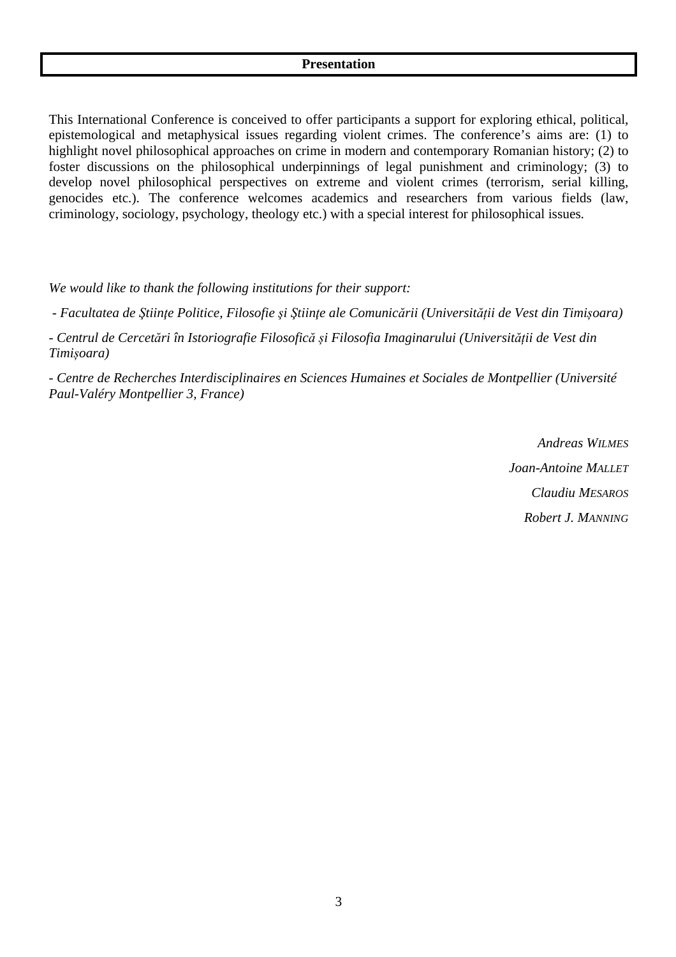This International Conference is conceived to offer participants a support for exploring ethical, political, epistemological and metaphysical issues regarding violent crimes. The conference's aims are: (1) to highlight novel philosophical approaches on crime in modern and contemporary Romanian history; (2) to foster discussions on the philosophical underpinnings of legal punishment and criminology; (3) to develop novel philosophical perspectives on extreme and violent crimes (terrorism, serial killing, genocides etc.). The conference welcomes academics and researchers from various fields (law, criminology, sociology, psychology, theology etc.) with a special interest for philosophical issues.

*We would like to thank the following institutions for their support:*

- Facultatea de Stiințe Politice, Filosofie și Stiințe ale Comunicării (Universității de Vest din Timișoara)

*- Centrul de Cercetări în Istoriografie Filosofică și Filosofia Imaginarului (Universității de Vest din Timișoara)* 

*- Centre de Recherches Interdisciplinaires en Sciences Humaines et Sociales de Montpellier (Université Paul-Valéry Montpellier 3, France)* 

> *Andreas WILMES Joan-Antoine MALLET Claudiu MESAROS Robert J. MANNING*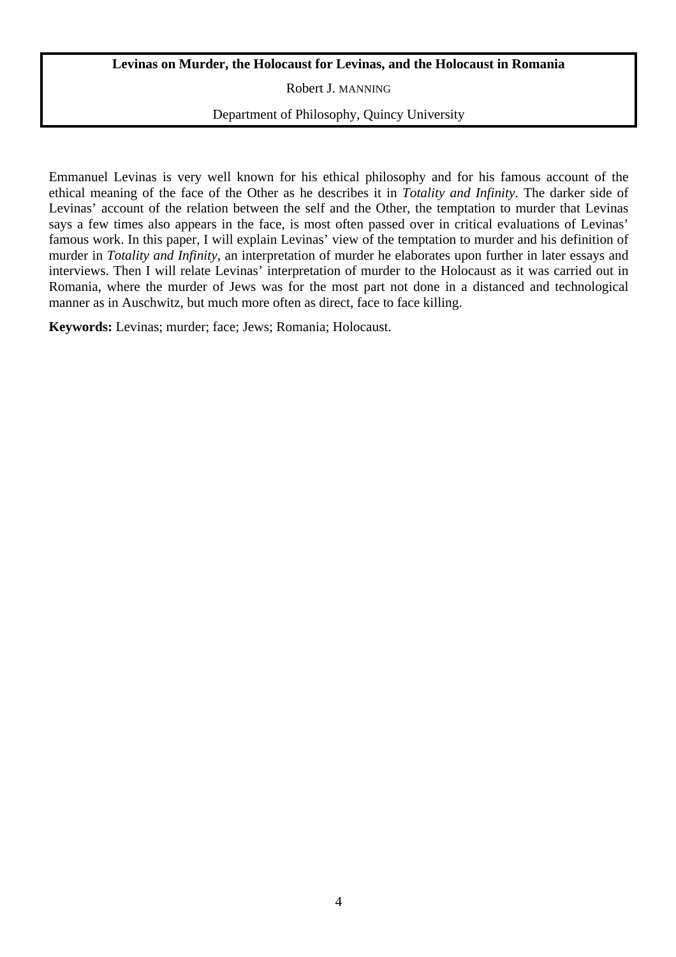# **Levinas on Murder, the Holocaust for Levinas, and the Holocaust in Romania**

Robert J. MANNING

## Department of Philosophy, Quincy University

Emmanuel Levinas is very well known for his ethical philosophy and for his famous account of the ethical meaning of the face of the Other as he describes it in *Totality and Infinity*. The darker side of Levinas' account of the relation between the self and the Other, the temptation to murder that Levinas says a few times also appears in the face, is most often passed over in critical evaluations of Levinas' famous work. In this paper, I will explain Levinas' view of the temptation to murder and his definition of murder in *Totality and Infinity*, an interpretation of murder he elaborates upon further in later essays and interviews. Then I will relate Levinas' interpretation of murder to the Holocaust as it was carried out in Romania, where the murder of Jews was for the most part not done in a distanced and technological manner as in Auschwitz, but much more often as direct, face to face killing.

**Keywords:** Levinas; murder; face; Jews; Romania; Holocaust.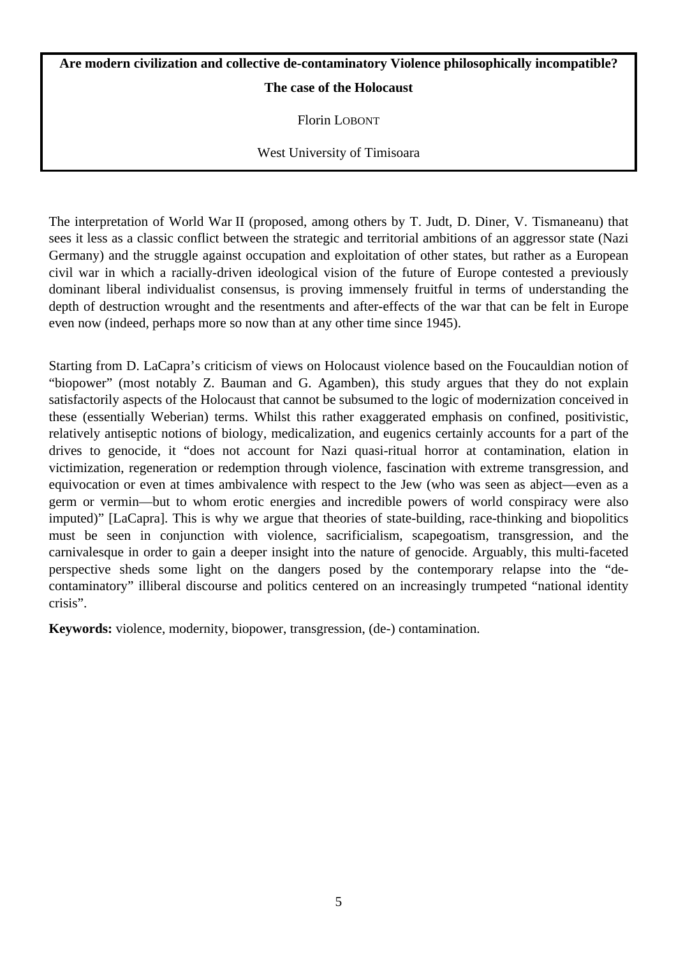# **Are modern civilization and collective de-contaminatory Violence philosophically incompatible? The case of the Holocaust**

Florin LOBONT

West University of Timisoara

The interpretation of World War II (proposed, among others by T. Judt, D. Diner, V. Tismaneanu) that sees it less as a classic conflict between the strategic and territorial ambitions of an aggressor state (Nazi Germany) and the struggle against occupation and exploitation of other states, but rather as a European civil war in which a racially-driven ideological vision of the future of Europe contested a previously dominant liberal individualist consensus, is proving immensely fruitful in terms of understanding the depth of destruction wrought and the resentments and after-effects of the war that can be felt in Europe even now (indeed, perhaps more so now than at any other time since 1945).

Starting from D. LaCapra's criticism of views on Holocaust violence based on the Foucauldian notion of "biopower" (most notably Z. Bauman and G. Agamben), this study argues that they do not explain satisfactorily aspects of the Holocaust that cannot be subsumed to the logic of modernization conceived in these (essentially Weberian) terms. Whilst this rather exaggerated emphasis on confined, positivistic, relatively antiseptic notions of biology, medicalization, and eugenics certainly accounts for a part of the drives to genocide, it "does not account for Nazi quasi-ritual horror at contamination, elation in victimization, regeneration or redemption through violence, fascination with extreme transgression, and equivocation or even at times ambivalence with respect to the Jew (who was seen as abject—even as a germ or vermin—but to whom erotic energies and incredible powers of world conspiracy were also imputed)" [LaCapra]. This is why we argue that theories of state-building, race-thinking and biopolitics must be seen in conjunction with violence, sacrificialism, scapegoatism, transgression, and the carnivalesque in order to gain a deeper insight into the nature of genocide. Arguably, this multi-faceted perspective sheds some light on the dangers posed by the contemporary relapse into the "decontaminatory" illiberal discourse and politics centered on an increasingly trumpeted "national identity crisis".

**Keywords:** violence, modernity, biopower, transgression, (de-) contamination.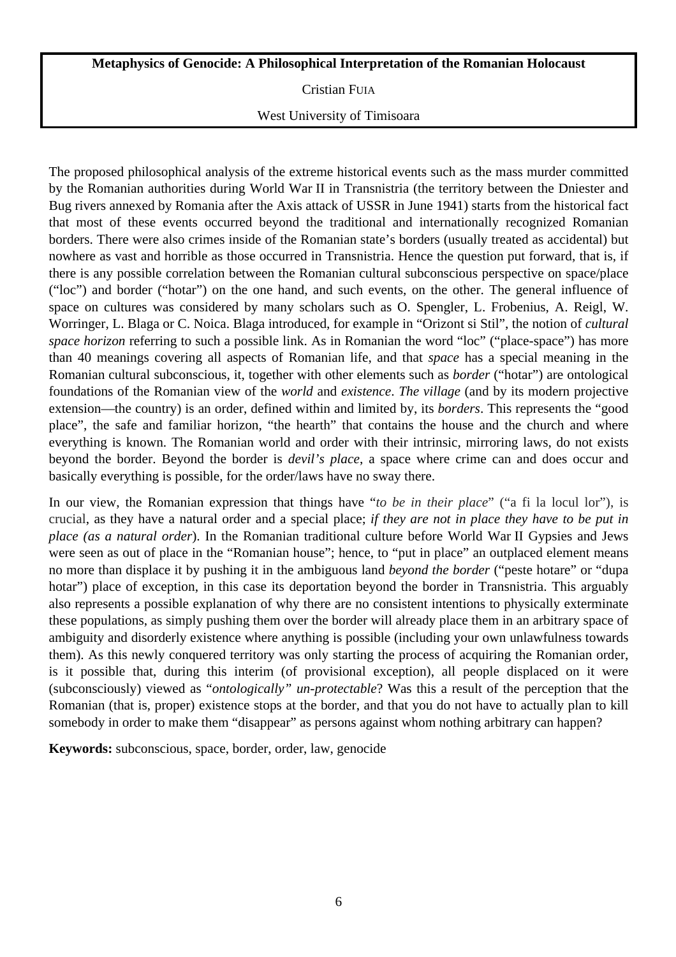# **Metaphysics of Genocide: A Philosophical Interpretation of the Romanian Holocaust**

Cristian FUIA

## West University of Timisoara

The proposed philosophical analysis of the extreme historical events such as the mass murder committed by the Romanian authorities during World War II in Transnistria (the territory between the Dniester and Bug rivers annexed by Romania after the Axis attack of USSR in June 1941) starts from the historical fact that most of these events occurred beyond the traditional and internationally recognized Romanian borders. There were also crimes inside of the Romanian state's borders (usually treated as accidental) but nowhere as vast and horrible as those occurred in Transnistria. Hence the question put forward, that is, if there is any possible correlation between the Romanian cultural subconscious perspective on space/place ("loc") and border ("hotar") on the one hand, and such events, on the other. The general influence of space on cultures was considered by many scholars such as O. Spengler, L. Frobenius, A. Reigl, W. Worringer, L. Blaga or C. Noica. Blaga introduced, for example in "Orizont si Stil", the notion of *cultural space horizon* referring to such a possible link. As in Romanian the word "loc" ("place-space") has more than 40 meanings covering all aspects of Romanian life, and that *space* has a special meaning in the Romanian cultural subconscious, it, together with other elements such as *border* ("hotar") are ontological foundations of the Romanian view of the *world* and *existence*. *The village* (and by its modern projective extension—the country) is an order, defined within and limited by, its *borders*. This represents the "good place", the safe and familiar horizon, "the hearth" that contains the house and the church and where everything is known. The Romanian world and order with their intrinsic, mirroring laws, do not exists beyond the border. Beyond the border is *devil's place*, a space where crime can and does occur and basically everything is possible, for the order/laws have no sway there.

In our view, the Romanian expression that things have "*to be in their place*" ("a fi la locul lor"), is crucial, as they have a natural order and a special place; *if they are not in place they have to be put in place (as a natural order*). In the Romanian traditional culture before World War II Gypsies and Jews were seen as out of place in the "Romanian house"; hence, to "put in place" an outplaced element means no more than displace it by pushing it in the ambiguous land *beyond the border* ("peste hotare" or "dupa hotar") place of exception, in this case its deportation beyond the border in Transnistria. This arguably also represents a possible explanation of why there are no consistent intentions to physically exterminate these populations, as simply pushing them over the border will already place them in an arbitrary space of ambiguity and disorderly existence where anything is possible (including your own unlawfulness towards them). As this newly conquered territory was only starting the process of acquiring the Romanian order, is it possible that, during this interim (of provisional exception), all people displaced on it were (subconsciously) viewed as "*ontologically" un-protectable*? Was this a result of the perception that the Romanian (that is, proper) existence stops at the border, and that you do not have to actually plan to kill somebody in order to make them "disappear" as persons against whom nothing arbitrary can happen?

**Keywords:** subconscious, space, border, order, law, genocide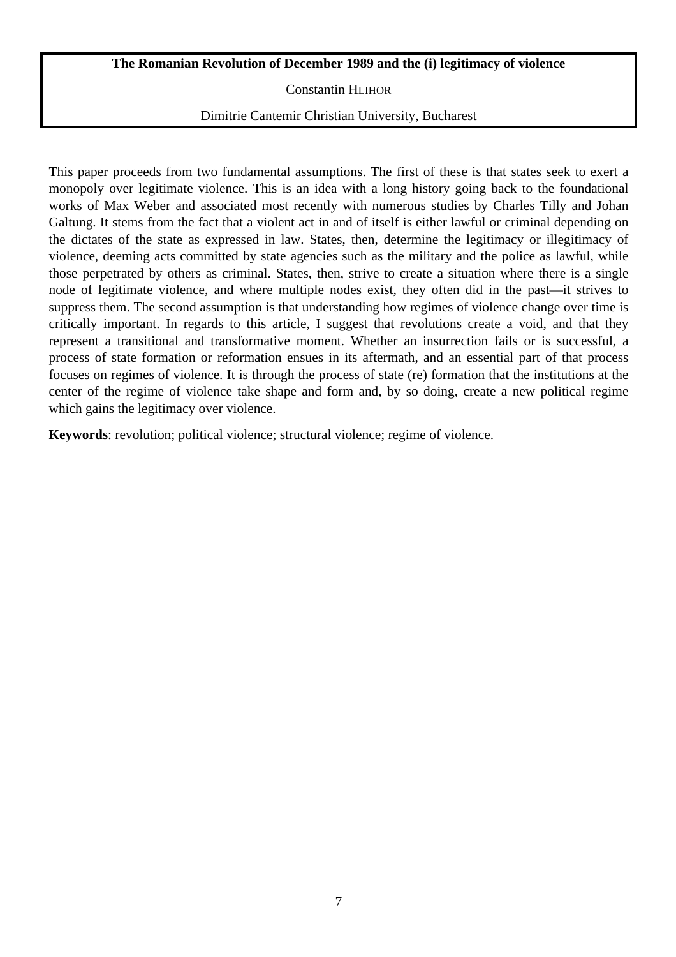## **The Romanian Revolution of December 1989 and the (i) legitimacy of violence**

Constantin HLIHOR

### Dimitrie Cantemir Christian University, Bucharest

This paper proceeds from two fundamental assumptions. The first of these is that states seek to exert a monopoly over legitimate violence. This is an idea with a long history going back to the foundational works of Max Weber and associated most recently with numerous studies by Charles Tilly and Johan Galtung. It stems from the fact that a violent act in and of itself is either lawful or criminal depending on the dictates of the state as expressed in law. States, then, determine the legitimacy or illegitimacy of violence, deeming acts committed by state agencies such as the military and the police as lawful, while those perpetrated by others as criminal. States, then, strive to create a situation where there is a single node of legitimate violence, and where multiple nodes exist, they often did in the past—it strives to suppress them. The second assumption is that understanding how regimes of violence change over time is critically important. In regards to this article, I suggest that revolutions create a void, and that they represent a transitional and transformative moment. Whether an insurrection fails or is successful, a process of state formation or reformation ensues in its aftermath, and an essential part of that process focuses on regimes of violence. It is through the process of state (re) formation that the institutions at the center of the regime of violence take shape and form and, by so doing, create a new political regime which gains the legitimacy over violence.

**Keywords**: revolution; political violence; structural violence; regime of violence.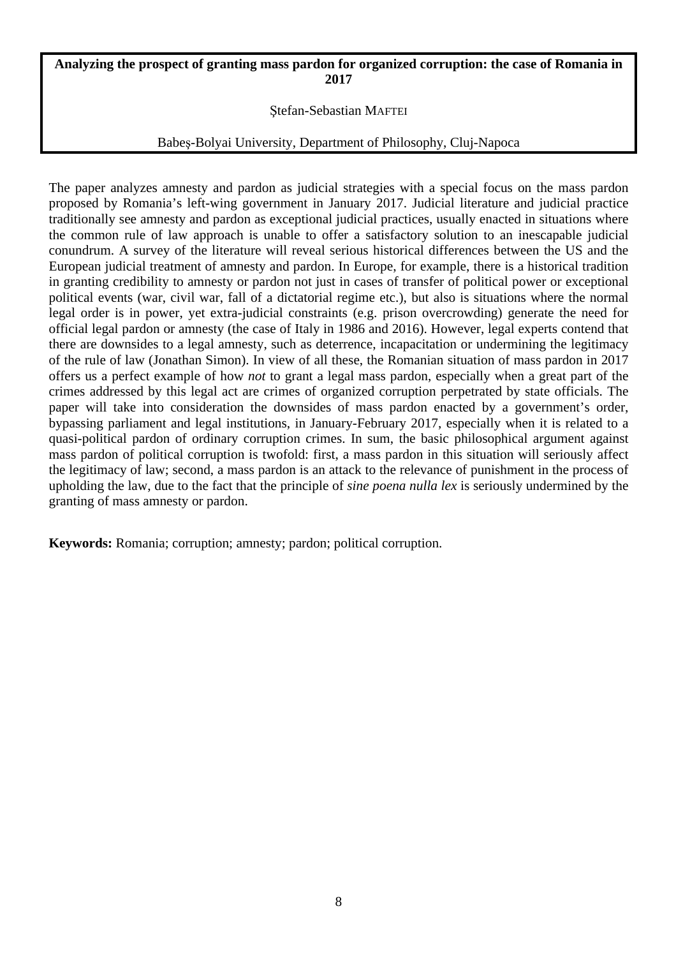## **Analyzing the prospect of granting mass pardon for organized corruption: the case of Romania in 2017**

## Ştefan-Sebastian MAFTEI

## Babeş-Bolyai University, Department of Philosophy, Cluj-Napoca

The paper analyzes amnesty and pardon as judicial strategies with a special focus on the mass pardon proposed by Romania's left-wing government in January 2017. Judicial literature and judicial practice traditionally see amnesty and pardon as exceptional judicial practices, usually enacted in situations where the common rule of law approach is unable to offer a satisfactory solution to an inescapable judicial conundrum. A survey of the literature will reveal serious historical differences between the US and the European judicial treatment of amnesty and pardon. In Europe, for example, there is a historical tradition in granting credibility to amnesty or pardon not just in cases of transfer of political power or exceptional political events (war, civil war, fall of a dictatorial regime etc.), but also is situations where the normal legal order is in power, yet extra-judicial constraints (e.g. prison overcrowding) generate the need for official legal pardon or amnesty (the case of Italy in 1986 and 2016). However, legal experts contend that there are downsides to a legal amnesty, such as deterrence, incapacitation or undermining the legitimacy of the rule of law (Jonathan Simon). In view of all these, the Romanian situation of mass pardon in 2017 offers us a perfect example of how *not* to grant a legal mass pardon, especially when a great part of the crimes addressed by this legal act are crimes of organized corruption perpetrated by state officials. The paper will take into consideration the downsides of mass pardon enacted by a government's order, bypassing parliament and legal institutions, in January-February 2017, especially when it is related to a quasi-political pardon of ordinary corruption crimes. In sum, the basic philosophical argument against mass pardon of political corruption is twofold: first, a mass pardon in this situation will seriously affect the legitimacy of law; second, a mass pardon is an attack to the relevance of punishment in the process of upholding the law, due to the fact that the principle of *sine poena nulla lex* is seriously undermined by the granting of mass amnesty or pardon.

**Keywords:** Romania; corruption; amnesty; pardon; political corruption.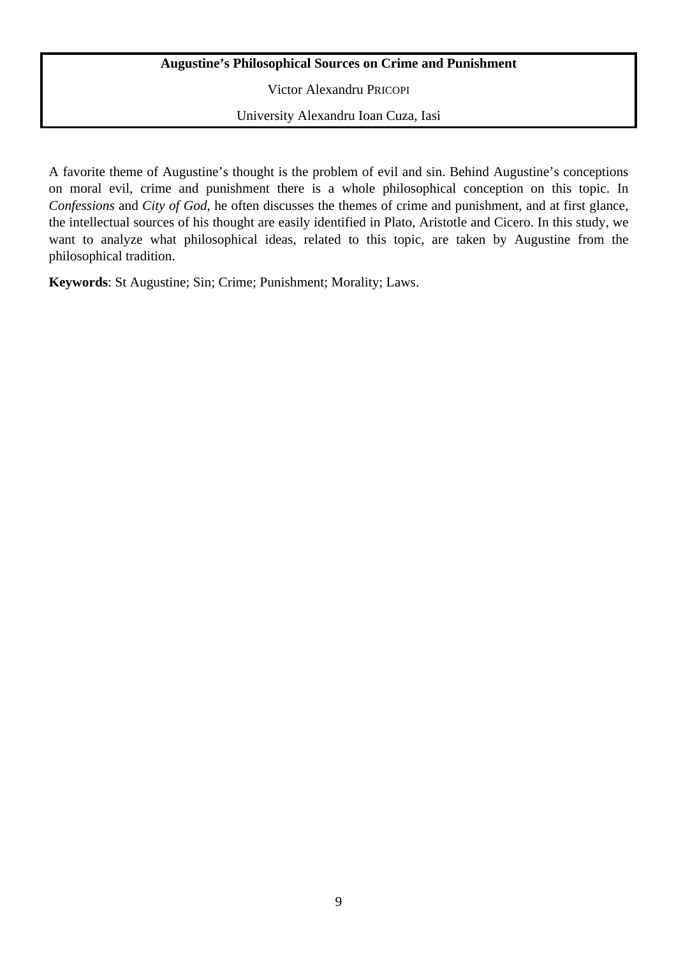# **Augustine's Philosophical Sources on Crime and Punishment**

Victor Alexandru PRICOPI

University Alexandru Ioan Cuza, Iasi

A favorite theme of Augustine's thought is the problem of evil and sin. Behind Augustine's conceptions on moral evil, crime and punishment there is a whole philosophical conception on this topic. In *Confessions* and *City of God*, he often discusses the themes of crime and punishment, and at first glance, the intellectual sources of his thought are easily identified in Plato, Aristotle and Cicero. In this study, we want to analyze what philosophical ideas, related to this topic, are taken by Augustine from the philosophical tradition.

**Keywords**: St Augustine; Sin; Crime; Punishment; Morality; Laws.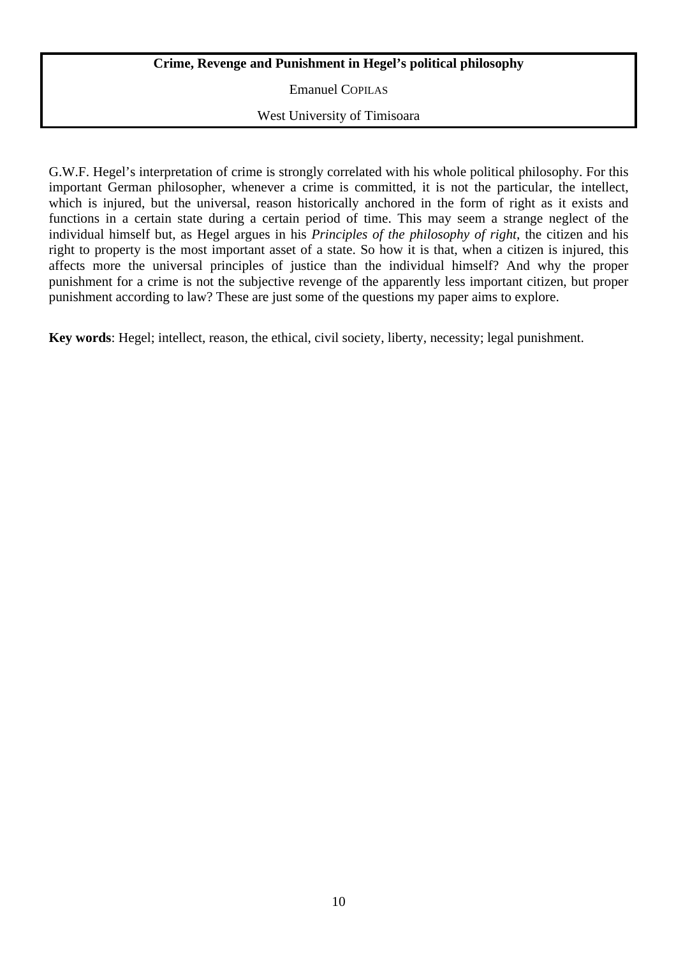# **Crime, Revenge and Punishment in Hegel's political philosophy**

Emanuel COPILAS

West University of Timisoara

G.W.F. Hegel's interpretation of crime is strongly correlated with his whole political philosophy. For this important German philosopher, whenever a crime is committed, it is not the particular, the intellect, which is injured, but the universal, reason historically anchored in the form of right as it exists and functions in a certain state during a certain period of time. This may seem a strange neglect of the individual himself but, as Hegel argues in his *Principles of the philosophy of right*, the citizen and his right to property is the most important asset of a state. So how it is that, when a citizen is injured, this affects more the universal principles of justice than the individual himself? And why the proper punishment for a crime is not the subjective revenge of the apparently less important citizen, but proper punishment according to law? These are just some of the questions my paper aims to explore.

**Key words**: Hegel; intellect, reason, the ethical, civil society, liberty, necessity; legal punishment.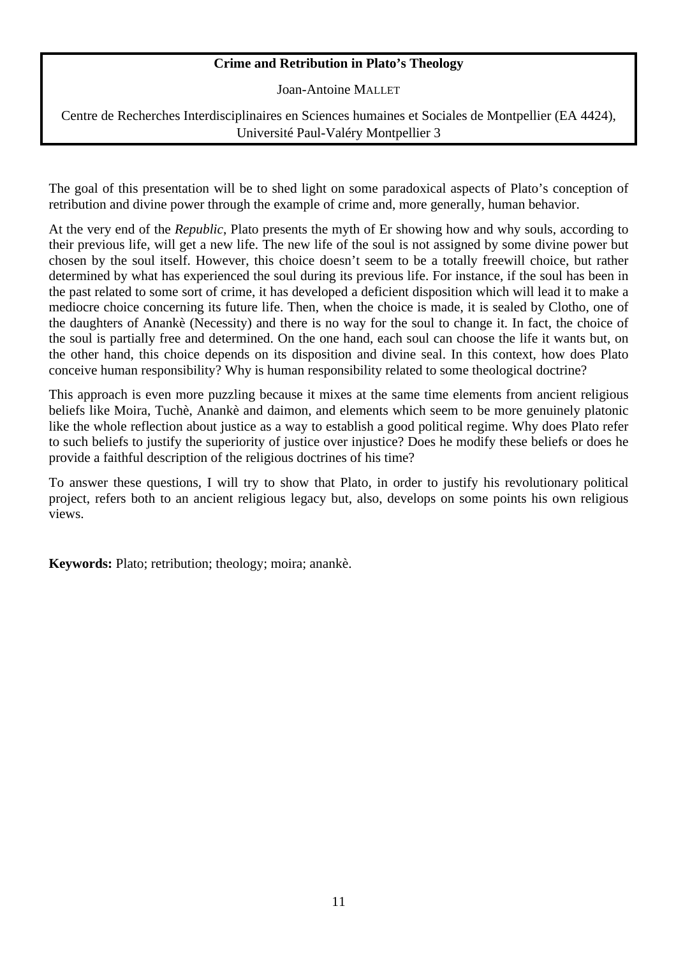# **Crime and Retribution in Plato's Theology**

Joan-Antoine MALLET

Centre de Recherches Interdisciplinaires en Sciences humaines et Sociales de Montpellier (EA 4424), Université Paul-Valéry Montpellier 3

The goal of this presentation will be to shed light on some paradoxical aspects of Plato's conception of retribution and divine power through the example of crime and, more generally, human behavior.

At the very end of the *Republic*, Plato presents the myth of Er showing how and why souls, according to their previous life, will get a new life. The new life of the soul is not assigned by some divine power but chosen by the soul itself. However, this choice doesn't seem to be a totally freewill choice, but rather determined by what has experienced the soul during its previous life. For instance, if the soul has been in the past related to some sort of crime, it has developed a deficient disposition which will lead it to make a mediocre choice concerning its future life. Then, when the choice is made, it is sealed by Clotho, one of the daughters of Anankè (Necessity) and there is no way for the soul to change it. In fact, the choice of the soul is partially free and determined. On the one hand, each soul can choose the life it wants but, on the other hand, this choice depends on its disposition and divine seal. In this context, how does Plato conceive human responsibility? Why is human responsibility related to some theological doctrine?

This approach is even more puzzling because it mixes at the same time elements from ancient religious beliefs like Moira, Tuchè, Anankè and daimon, and elements which seem to be more genuinely platonic like the whole reflection about justice as a way to establish a good political regime. Why does Plato refer to such beliefs to justify the superiority of justice over injustice? Does he modify these beliefs or does he provide a faithful description of the religious doctrines of his time?

To answer these questions, I will try to show that Plato, in order to justify his revolutionary political project, refers both to an ancient religious legacy but, also, develops on some points his own religious views.

**Keywords:** Plato; retribution; theology; moira; anankè.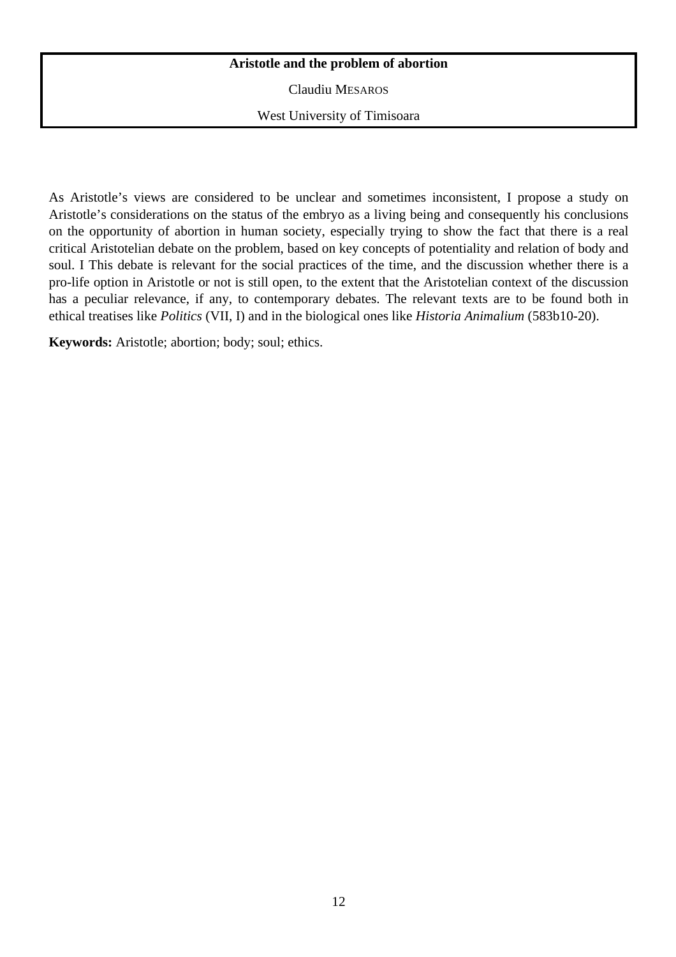## **Aristotle and the problem of abortion**

Claudiu MESAROS

West University of Timisoara

As Aristotle's views are considered to be unclear and sometimes inconsistent, I propose a study on Aristotle's considerations on the status of the embryo as a living being and consequently his conclusions on the opportunity of abortion in human society, especially trying to show the fact that there is a real critical Aristotelian debate on the problem, based on key concepts of potentiality and relation of body and soul. I This debate is relevant for the social practices of the time, and the discussion whether there is a pro-life option in Aristotle or not is still open, to the extent that the Aristotelian context of the discussion has a peculiar relevance, if any, to contemporary debates. The relevant texts are to be found both in ethical treatises like *Politics* (VII, I) and in the biological ones like *Historia Animalium* (583b10-20).

**Keywords:** Aristotle; abortion; body; soul; ethics.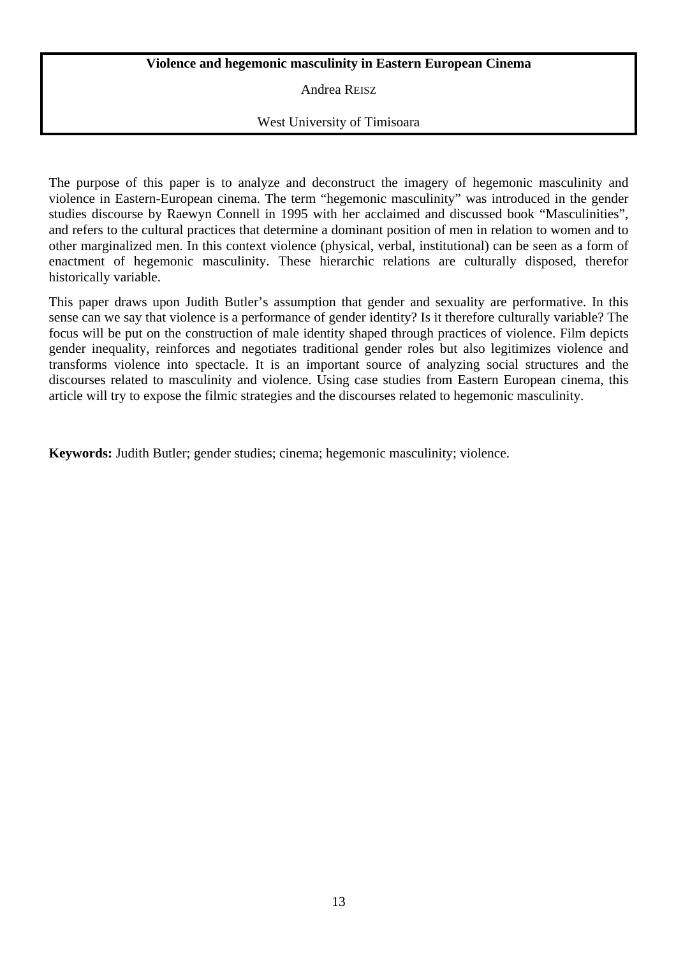## **Violence and hegemonic masculinity in Eastern European Cinema**

Andrea REISZ

# West University of Timisoara

The purpose of this paper is to analyze and deconstruct the imagery of hegemonic masculinity and violence in Eastern-European cinema. The term "hegemonic masculinity" was introduced in the gender studies discourse by Raewyn Connell in 1995 with her acclaimed and discussed book "Masculinities", and refers to the cultural practices that determine a dominant position of men in relation to women and to other marginalized men. In this context violence (physical, verbal, institutional) can be seen as a form of enactment of hegemonic masculinity. These hierarchic relations are culturally disposed, therefor historically variable.

This paper draws upon Judith Butler's assumption that gender and sexuality are performative. In this sense can we say that violence is a performance of gender identity? Is it therefore culturally variable? The focus will be put on the construction of male identity shaped through practices of violence. Film depicts gender inequality, reinforces and negotiates traditional gender roles but also legitimizes violence and transforms violence into spectacle. It is an important source of analyzing social structures and the discourses related to masculinity and violence. Using case studies from Eastern European cinema, this article will try to expose the filmic strategies and the discourses related to hegemonic masculinity.

**Keywords:** Judith Butler; gender studies; cinema; hegemonic masculinity; violence.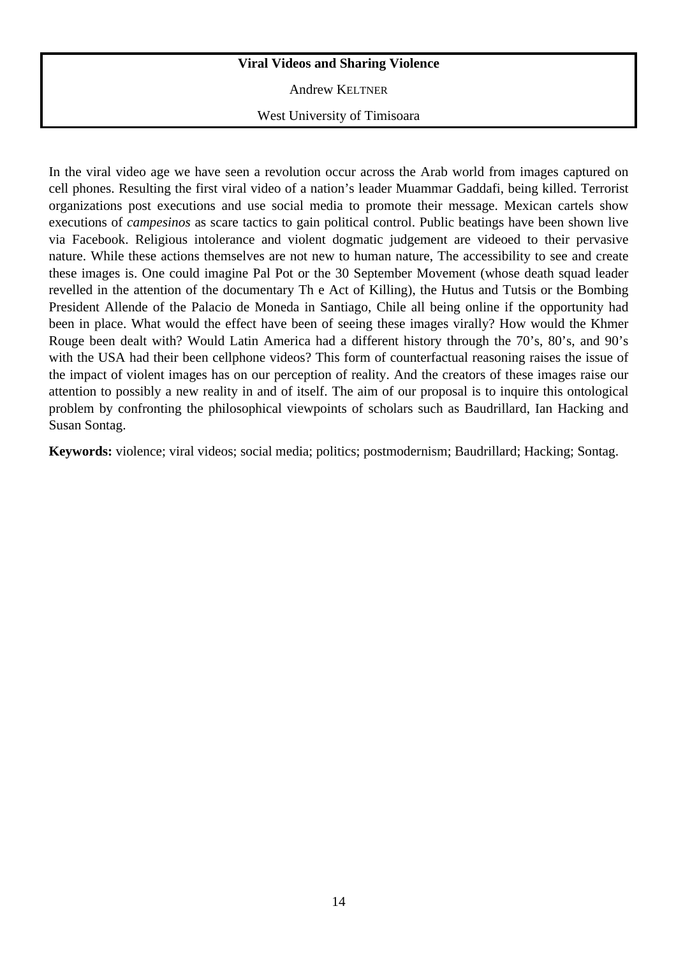# **Viral Videos and Sharing Violence**

Andrew KELTNER

West University of Timisoara

In the viral video age we have seen a revolution occur across the Arab world from images captured on cell phones. Resulting the first viral video of a nation's leader Muammar Gaddafi, being killed. Terrorist organizations post executions and use social media to promote their message. Mexican cartels show executions of *campesinos* as scare tactics to gain political control. Public beatings have been shown live via Facebook. Religious intolerance and violent dogmatic judgement are videoed to their pervasive nature. While these actions themselves are not new to human nature, The accessibility to see and create these images is. One could imagine Pal Pot or the 30 September Movement (whose death squad leader revelled in the attention of the documentary Th e Act of Killing), the Hutus and Tutsis or the Bombing President Allende of the Palacio de Moneda in Santiago, Chile all being online if the opportunity had been in place. What would the effect have been of seeing these images virally? How would the Khmer Rouge been dealt with? Would Latin America had a different history through the 70's, 80's, and 90's with the USA had their been cellphone videos? This form of counterfactual reasoning raises the issue of the impact of violent images has on our perception of reality. And the creators of these images raise our attention to possibly a new reality in and of itself. The aim of our proposal is to inquire this ontological problem by confronting the philosophical viewpoints of scholars such as Baudrillard, Ian Hacking and Susan Sontag.

**Keywords:** violence; viral videos; social media; politics; postmodernism; Baudrillard; Hacking; Sontag.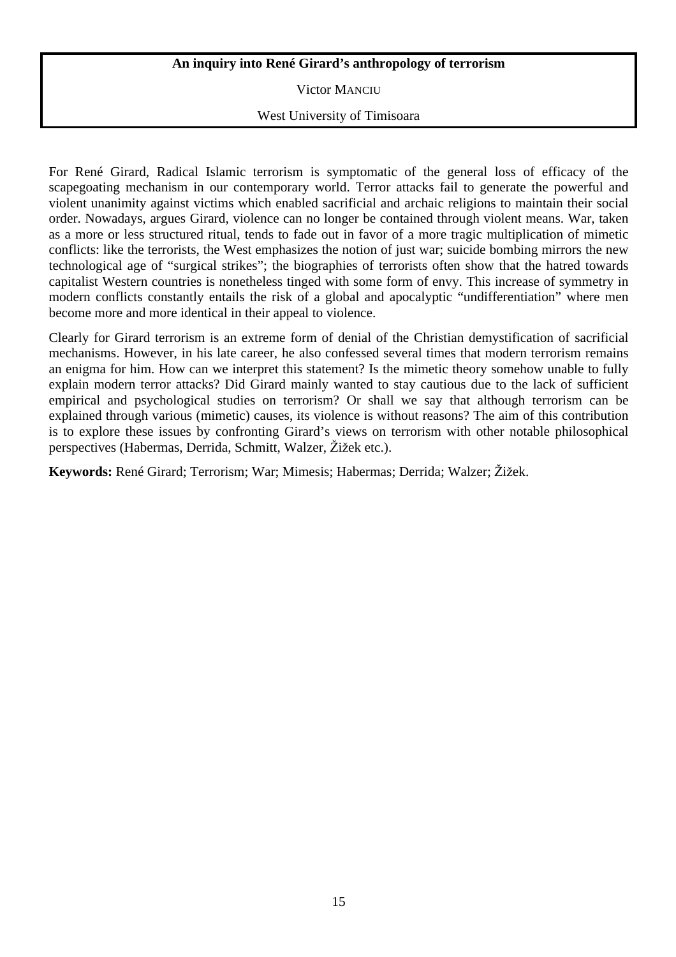## **An inquiry into René Girard's anthropology of terrorism**

Victor MANCIU

## West University of Timisoara

For René Girard, Radical Islamic terrorism is symptomatic of the general loss of efficacy of the scapegoating mechanism in our contemporary world. Terror attacks fail to generate the powerful and violent unanimity against victims which enabled sacrificial and archaic religions to maintain their social order. Nowadays, argues Girard, violence can no longer be contained through violent means. War, taken as a more or less structured ritual, tends to fade out in favor of a more tragic multiplication of mimetic conflicts: like the terrorists, the West emphasizes the notion of just war; suicide bombing mirrors the new technological age of "surgical strikes"; the biographies of terrorists often show that the hatred towards capitalist Western countries is nonetheless tinged with some form of envy. This increase of symmetry in modern conflicts constantly entails the risk of a global and apocalyptic "undifferentiation" where men become more and more identical in their appeal to violence.

Clearly for Girard terrorism is an extreme form of denial of the Christian demystification of sacrificial mechanisms. However, in his late career, he also confessed several times that modern terrorism remains an enigma for him. How can we interpret this statement? Is the mimetic theory somehow unable to fully explain modern terror attacks? Did Girard mainly wanted to stay cautious due to the lack of sufficient empirical and psychological studies on terrorism? Or shall we say that although terrorism can be explained through various (mimetic) causes, its violence is without reasons? The aim of this contribution is to explore these issues by confronting Girard's views on terrorism with other notable philosophical perspectives (Habermas, Derrida, Schmitt, Walzer, Žižek etc.).

**Keywords:** René Girard; Terrorism; War; Mimesis; Habermas; Derrida; Walzer; Žižek.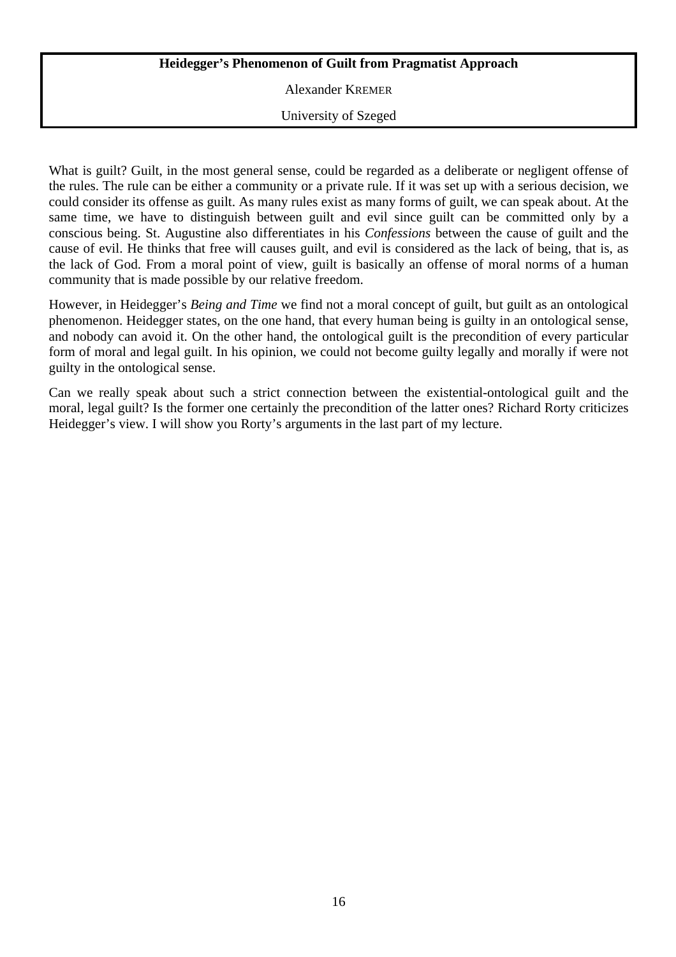# **Heidegger's Phenomenon of Guilt from Pragmatist Approach**

Alexander KREMER

University of Szeged

What is guilt? Guilt, in the most general sense, could be regarded as a deliberate or negligent offense of the rules. The rule can be either a community or a private rule. If it was set up with a serious decision, we could consider its offense as guilt. As many rules exist as many forms of guilt, we can speak about. At the same time, we have to distinguish between guilt and evil since guilt can be committed only by a conscious being. St. Augustine also differentiates in his *Confessions* between the cause of guilt and the cause of evil. He thinks that free will causes guilt, and evil is considered as the lack of being, that is, as the lack of God. From a moral point of view, guilt is basically an offense of moral norms of a human community that is made possible by our relative freedom.

However, in Heidegger's *Being and Time* we find not a moral concept of guilt, but guilt as an ontological phenomenon. Heidegger states, on the one hand, that every human being is guilty in an ontological sense, and nobody can avoid it. On the other hand, the ontological guilt is the precondition of every particular form of moral and legal guilt. In his opinion, we could not become guilty legally and morally if were not guilty in the ontological sense.

Can we really speak about such a strict connection between the existential-ontological guilt and the moral, legal guilt? Is the former one certainly the precondition of the latter ones? Richard Rorty criticizes Heidegger's view. I will show you Rorty's arguments in the last part of my lecture.